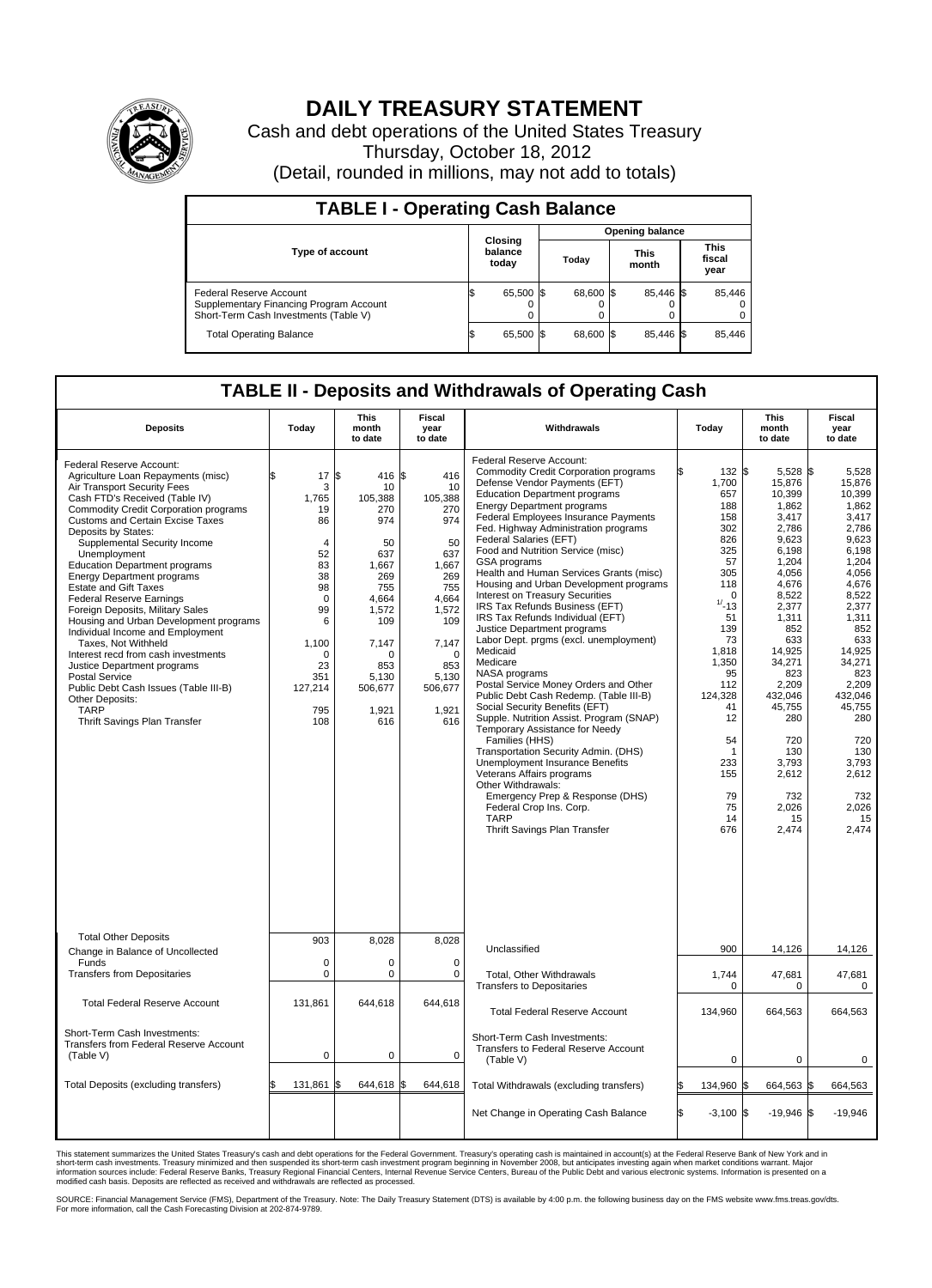

## **DAILY TREASURY STATEMENT**

Cash and debt operations of the United States Treasury Thursday, October 18, 2012 (Detail, rounded in millions, may not add to totals)

| <b>TABLE I - Operating Cash Balance</b>                                                                     |                             |           |  |                        |  |                      |  |                               |  |  |  |
|-------------------------------------------------------------------------------------------------------------|-----------------------------|-----------|--|------------------------|--|----------------------|--|-------------------------------|--|--|--|
|                                                                                                             | Closing<br>balance<br>today |           |  | <b>Opening balance</b> |  |                      |  |                               |  |  |  |
| Type of account                                                                                             |                             |           |  | Today                  |  | <b>This</b><br>month |  | <b>This</b><br>fiscal<br>year |  |  |  |
| Federal Reserve Account<br>Supplementary Financing Program Account<br>Short-Term Cash Investments (Table V) |                             | 65,500 \$ |  | 68,600 \$              |  | 85,446 \$<br>0       |  | 85,446                        |  |  |  |
| <b>Total Operating Balance</b>                                                                              |                             | 65,500    |  | 68,600 \$              |  | 85.446 \$            |  | 85,446                        |  |  |  |

## **TABLE II - Deposits and Withdrawals of Operating Cash**

| <b>Deposits</b>                                                                                                                                                                                                                                                                                                                                                                                                                                                                                                                                                                                                                                                                                                                                                                                      | Today                                                                                                                                                             | <b>This</b><br>month<br>to date                                                                                                                                    | Fiscal<br>year<br>to date                                                                                                                                       | Withdrawals                                                                                                                                                                                                                                                                                                                                                                                                                                                                                                                                                                                                                                                                                                                                                                                                                                                                                                                                                                                                                                                                                                                                  | Today                                                                                                                                                                                                                      | <b>This</b><br>month<br>to date                                                                                                                                                                                                                                              | Fiscal<br>year<br>to date                                                                                                                                                                                                                                                 |  |
|------------------------------------------------------------------------------------------------------------------------------------------------------------------------------------------------------------------------------------------------------------------------------------------------------------------------------------------------------------------------------------------------------------------------------------------------------------------------------------------------------------------------------------------------------------------------------------------------------------------------------------------------------------------------------------------------------------------------------------------------------------------------------------------------------|-------------------------------------------------------------------------------------------------------------------------------------------------------------------|--------------------------------------------------------------------------------------------------------------------------------------------------------------------|-----------------------------------------------------------------------------------------------------------------------------------------------------------------|----------------------------------------------------------------------------------------------------------------------------------------------------------------------------------------------------------------------------------------------------------------------------------------------------------------------------------------------------------------------------------------------------------------------------------------------------------------------------------------------------------------------------------------------------------------------------------------------------------------------------------------------------------------------------------------------------------------------------------------------------------------------------------------------------------------------------------------------------------------------------------------------------------------------------------------------------------------------------------------------------------------------------------------------------------------------------------------------------------------------------------------------|----------------------------------------------------------------------------------------------------------------------------------------------------------------------------------------------------------------------------|------------------------------------------------------------------------------------------------------------------------------------------------------------------------------------------------------------------------------------------------------------------------------|---------------------------------------------------------------------------------------------------------------------------------------------------------------------------------------------------------------------------------------------------------------------------|--|
| Federal Reserve Account:<br>Agriculture Loan Repayments (misc)<br>Air Transport Security Fees<br>Cash FTD's Received (Table IV)<br><b>Commodity Credit Corporation programs</b><br><b>Customs and Certain Excise Taxes</b><br>Deposits by States:<br>Supplemental Security Income<br>Unemployment<br><b>Education Department programs</b><br><b>Energy Department programs</b><br><b>Estate and Gift Taxes</b><br><b>Federal Reserve Earnings</b><br>Foreign Deposits, Military Sales<br>Housing and Urban Development programs<br>Individual Income and Employment<br>Taxes, Not Withheld<br>Interest recd from cash investments<br>Justice Department programs<br><b>Postal Service</b><br>Public Debt Cash Issues (Table III-B)<br>Other Deposits:<br><b>TARP</b><br>Thrift Savings Plan Transfer | \$<br>17<br>3<br>1,765<br>19<br>86<br>$\overline{4}$<br>52<br>83<br>38<br>98<br>$\mathbf 0$<br>99<br>6<br>1,100<br>$\Omega$<br>23<br>351<br>127,214<br>795<br>108 | l\$<br>416 \$<br>10<br>105,388<br>270<br>974<br>50<br>637<br>1,667<br>269<br>755<br>4,664<br>1.572<br>109<br>7,147<br>O<br>853<br>5.130<br>506,677<br>1,921<br>616 | 416<br>10<br>105,388<br>270<br>974<br>50<br>637<br>1,667<br>269<br>755<br>4,664<br>1,572<br>109<br>7,147<br>$\Omega$<br>853<br>5,130<br>506,677<br>1,921<br>616 | Federal Reserve Account:<br><b>Commodity Credit Corporation programs</b><br>Defense Vendor Payments (EFT)<br><b>Education Department programs</b><br><b>Energy Department programs</b><br>Federal Employees Insurance Payments<br>Fed. Highway Administration programs<br>Federal Salaries (EFT)<br>Food and Nutrition Service (misc)<br>GSA programs<br>Health and Human Services Grants (misc)<br>Housing and Urban Development programs<br><b>Interest on Treasury Securities</b><br>IRS Tax Refunds Business (EFT)<br>IRS Tax Refunds Individual (EFT)<br>Justice Department programs<br>Labor Dept. prgms (excl. unemployment)<br>Medicaid<br>Medicare<br>NASA programs<br>Postal Service Money Orders and Other<br>Public Debt Cash Redemp. (Table III-B)<br>Social Security Benefits (EFT)<br>Supple. Nutrition Assist. Program (SNAP)<br>Temporary Assistance for Needy<br>Families (HHS)<br>Transportation Security Admin. (DHS)<br>Unemployment Insurance Benefits<br>Veterans Affairs programs<br>Other Withdrawals:<br>Emergency Prep & Response (DHS)<br>Federal Crop Ins. Corp.<br><b>TARP</b><br>Thrift Savings Plan Transfer | 132 \$<br>1,700<br>657<br>188<br>158<br>302<br>826<br>325<br>57<br>305<br>118<br>0<br>$1/ - 13$<br>51<br>139<br>73<br>1,818<br>1,350<br>95<br>112<br>124.328<br>41<br>12<br>54<br>1<br>233<br>155<br>79<br>75<br>14<br>676 | 5,528 \$<br>15,876<br>10,399<br>1,862<br>3,417<br>2,786<br>9,623<br>6.198<br>1,204<br>4,056<br>4,676<br>8,522<br>2,377<br>1,311<br>852<br>633<br>14,925<br>34,271<br>823<br>2,209<br>432.046<br>45,755<br>280<br>720<br>130<br>3,793<br>2,612<br>732<br>2,026<br>15<br>2,474 | 5.528<br>15,876<br>10,399<br>1,862<br>3,417<br>2,786<br>9,623<br>6.198<br>1,204<br>4,056<br>4,676<br>8,522<br>2,377<br>1,311<br>852<br>633<br>14,925<br>34,271<br>823<br>2,209<br>432.046<br>45,755<br>280<br>720<br>130<br>3,793<br>2,612<br>732<br>2,026<br>15<br>2,474 |  |
| <b>Total Other Deposits</b><br>Change in Balance of Uncollected                                                                                                                                                                                                                                                                                                                                                                                                                                                                                                                                                                                                                                                                                                                                      | 903                                                                                                                                                               | 8.028                                                                                                                                                              | 8,028                                                                                                                                                           | Unclassified                                                                                                                                                                                                                                                                                                                                                                                                                                                                                                                                                                                                                                                                                                                                                                                                                                                                                                                                                                                                                                                                                                                                 | 900                                                                                                                                                                                                                        | 14,126                                                                                                                                                                                                                                                                       | 14,126                                                                                                                                                                                                                                                                    |  |
| Funds<br><b>Transfers from Depositaries</b>                                                                                                                                                                                                                                                                                                                                                                                                                                                                                                                                                                                                                                                                                                                                                          | 0<br>0                                                                                                                                                            | $\mathbf 0$<br>$\Omega$                                                                                                                                            | $\mathbf 0$<br>$\mathbf 0$                                                                                                                                      | Total, Other Withdrawals<br><b>Transfers to Depositaries</b>                                                                                                                                                                                                                                                                                                                                                                                                                                                                                                                                                                                                                                                                                                                                                                                                                                                                                                                                                                                                                                                                                 | 1,744<br>0                                                                                                                                                                                                                 | 47,681<br>$\mathbf 0$                                                                                                                                                                                                                                                        | 47,681<br>$\mathbf 0$                                                                                                                                                                                                                                                     |  |
| <b>Total Federal Reserve Account</b>                                                                                                                                                                                                                                                                                                                                                                                                                                                                                                                                                                                                                                                                                                                                                                 | 131,861                                                                                                                                                           | 644,618                                                                                                                                                            | 644,618                                                                                                                                                         | <b>Total Federal Reserve Account</b>                                                                                                                                                                                                                                                                                                                                                                                                                                                                                                                                                                                                                                                                                                                                                                                                                                                                                                                                                                                                                                                                                                         | 134,960                                                                                                                                                                                                                    | 664,563                                                                                                                                                                                                                                                                      | 664,563                                                                                                                                                                                                                                                                   |  |
| Short-Term Cash Investments:<br>Transfers from Federal Reserve Account<br>(Table V)                                                                                                                                                                                                                                                                                                                                                                                                                                                                                                                                                                                                                                                                                                                  | 0                                                                                                                                                                 | $\mathbf 0$                                                                                                                                                        | 0                                                                                                                                                               | Short-Term Cash Investments:<br>Transfers to Federal Reserve Account<br>(Table V)                                                                                                                                                                                                                                                                                                                                                                                                                                                                                                                                                                                                                                                                                                                                                                                                                                                                                                                                                                                                                                                            | $\mathbf 0$                                                                                                                                                                                                                | 0                                                                                                                                                                                                                                                                            | $\mathbf 0$                                                                                                                                                                                                                                                               |  |
| Total Deposits (excluding transfers)                                                                                                                                                                                                                                                                                                                                                                                                                                                                                                                                                                                                                                                                                                                                                                 | 131,861                                                                                                                                                           | 644,618<br>l\$                                                                                                                                                     | 644,618<br>\$.                                                                                                                                                  | Total Withdrawals (excluding transfers)                                                                                                                                                                                                                                                                                                                                                                                                                                                                                                                                                                                                                                                                                                                                                                                                                                                                                                                                                                                                                                                                                                      | 134,960 \$                                                                                                                                                                                                                 | 664,563 \$                                                                                                                                                                                                                                                                   | 664,563                                                                                                                                                                                                                                                                   |  |
|                                                                                                                                                                                                                                                                                                                                                                                                                                                                                                                                                                                                                                                                                                                                                                                                      |                                                                                                                                                                   |                                                                                                                                                                    |                                                                                                                                                                 | Net Change in Operating Cash Balance                                                                                                                                                                                                                                                                                                                                                                                                                                                                                                                                                                                                                                                                                                                                                                                                                                                                                                                                                                                                                                                                                                         | l\$<br>$-3.100$ \$                                                                                                                                                                                                         | $-19.946$ \$                                                                                                                                                                                                                                                                 | $-19.946$                                                                                                                                                                                                                                                                 |  |

This statement summarizes the United States Treasury's cash and debt operations for the Federal Government. Treasury's operating cash is maintained in account(s) at the Federal Reserve Bank of New York and in<br>short-term ca

SOURCE: Financial Management Service (FMS), Department of the Treasury. Note: The Daily Treasury Statement (DTS) is available by 4:00 p.m. the following business day on the FMS website www.fms.treas.gov/dts.<br>For more infor